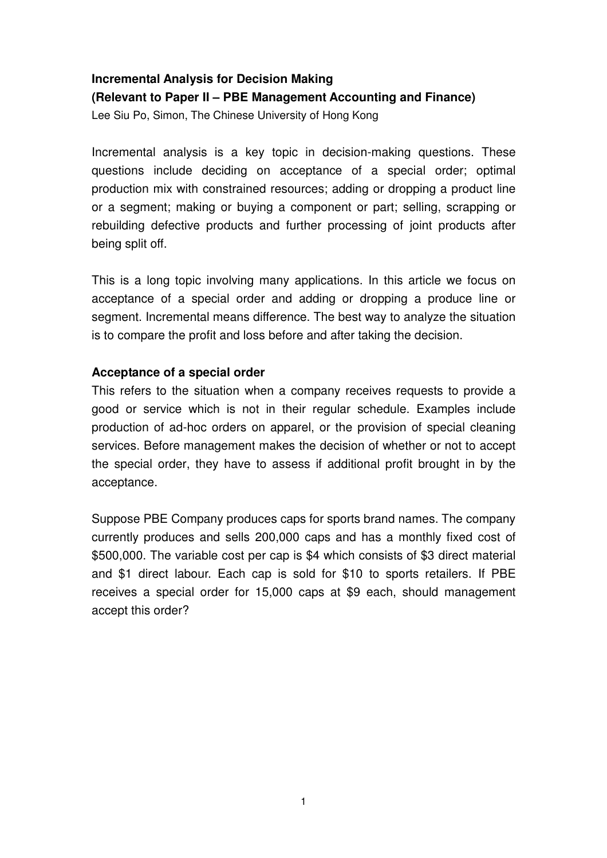# **Incremental Analysis for Decision Making (Relevant to Paper II – PBE Management Accounting and Finance)**

Lee Siu Po, Simon, The Chinese University of Hong Kong

Incremental analysis is a key topic in decision-making questions. These questions include deciding on acceptance of a special order; optimal production mix with constrained resources; adding or dropping a product line or a segment; making or buying a component or part; selling, scrapping or rebuilding defective products and further processing of joint products after being split off.

This is a long topic involving many applications. In this article we focus on acceptance of a special order and adding or dropping a produce line or segment. Incremental means difference. The best way to analyze the situation is to compare the profit and loss before and after taking the decision.

## **Acceptance of a special order**

This refers to the situation when a company receives requests to provide a good or service which is not in their regular schedule. Examples include production of ad-hoc orders on apparel, or the provision of special cleaning services. Before management makes the decision of whether or not to accept the special order, they have to assess if additional profit brought in by the acceptance.

Suppose PBE Company produces caps for sports brand names. The company currently produces and sells 200,000 caps and has a monthly fixed cost of \$500,000. The variable cost per cap is \$4 which consists of \$3 direct material and \$1 direct labour. Each cap is sold for \$10 to sports retailers. If PBE receives a special order for 15,000 caps at \$9 each, should management accept this order?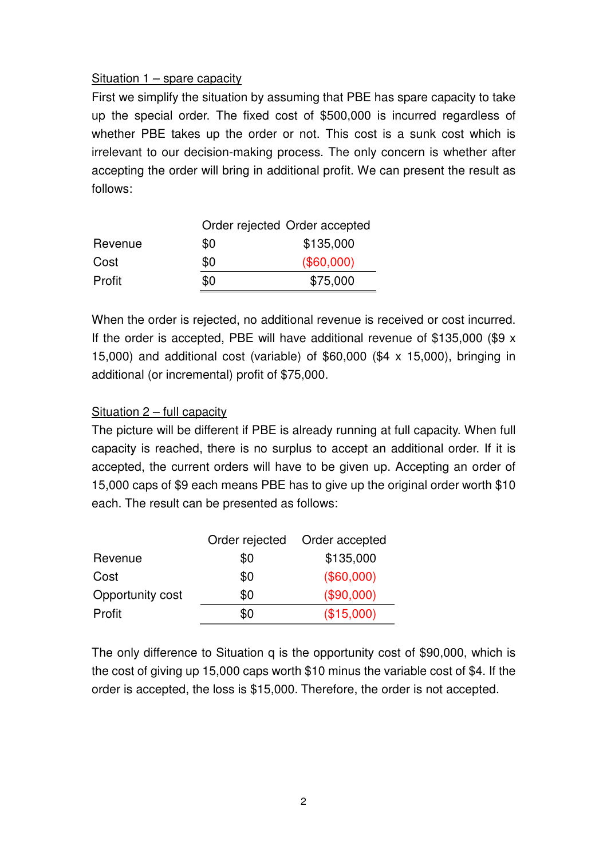### Situation 1 – spare capacity

First we simplify the situation by assuming that PBE has spare capacity to take up the special order. The fixed cost of \$500,000 is incurred regardless of whether PBE takes up the order or not. This cost is a sunk cost which is irrelevant to our decision-making process. The only concern is whether after accepting the order will bring in additional profit. We can present the result as follows:

|         |     | Order rejected Order accepted |  |  |
|---------|-----|-------------------------------|--|--|
| Revenue | \$0 | \$135,000                     |  |  |
| Cost    | \$0 | (\$60,000)                    |  |  |
| Profit  | \$0 | \$75,000                      |  |  |

When the order is rejected, no additional revenue is received or cost incurred. If the order is accepted, PBE will have additional revenue of \$135,000 (\$9 x 15,000) and additional cost (variable) of \$60,000 (\$4 x 15,000), bringing in additional (or incremental) profit of \$75,000.

## Situation 2 – full capacity

The picture will be different if PBE is already running at full capacity. When full capacity is reached, there is no surplus to accept an additional order. If it is accepted, the current orders will have to be given up. Accepting an order of 15,000 caps of \$9 each means PBE has to give up the original order worth \$10 each. The result can be presented as follows:

|                  | Order rejected | Order accepted |
|------------------|----------------|----------------|
| Revenue          | \$0            | \$135,000      |
| Cost             | \$0            | (\$60,000)     |
| Opportunity cost | \$0            | (\$90,000)     |
| Profit           | \$0            | (\$15,000)     |

The only difference to Situation q is the opportunity cost of \$90,000, which is the cost of giving up 15,000 caps worth \$10 minus the variable cost of \$4. If the order is accepted, the loss is \$15,000. Therefore, the order is not accepted.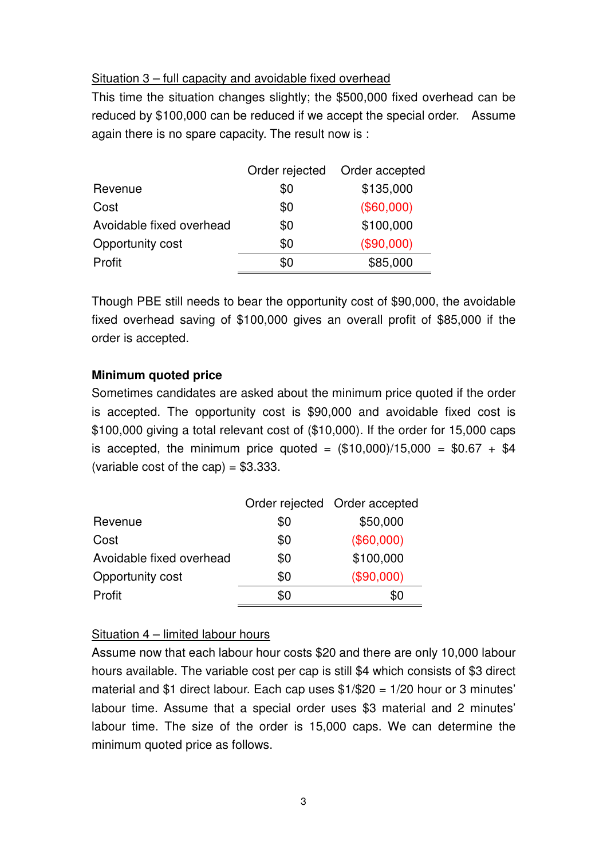### Situation 3 – full capacity and avoidable fixed overhead

This time the situation changes slightly; the \$500,000 fixed overhead can be reduced by \$100,000 can be reduced if we accept the special order. Assume again there is no spare capacity. The result now is :

|                          | Order rejected | Order accepted |
|--------------------------|----------------|----------------|
| Revenue                  | \$0            | \$135,000      |
| Cost                     | \$0            | (\$60,000)     |
| Avoidable fixed overhead | \$0            | \$100,000      |
| Opportunity cost         | \$0            | (\$90,000)     |
| Profit                   | \$0            | \$85,000       |
|                          |                |                |

Though PBE still needs to bear the opportunity cost of \$90,000, the avoidable fixed overhead saving of \$100,000 gives an overall profit of \$85,000 if the order is accepted.

### **Minimum quoted price**

Sometimes candidates are asked about the minimum price quoted if the order is accepted. The opportunity cost is \$90,000 and avoidable fixed cost is \$100,000 giving a total relevant cost of (\$10,000). If the order for 15,000 caps is accepted, the minimum price quoted =  $(\$10,000)/15,000 = \$0.67 + \$4$ (variable cost of the cap) =  $$3.333$ .

|                          |     | Order rejected Order accepted |
|--------------------------|-----|-------------------------------|
| Revenue                  | \$0 | \$50,000                      |
| Cost                     | \$0 | (\$60,000)                    |
| Avoidable fixed overhead | \$0 | \$100,000                     |
| Opportunity cost         | \$0 | (\$90,000)                    |
| Profit                   | \$0 | \$0                           |

## Situation 4 – limited labour hours

Assume now that each labour hour costs \$20 and there are only 10,000 labour hours available. The variable cost per cap is still \$4 which consists of \$3 direct material and \$1 direct labour. Each cap uses \$1/\$20 = 1/20 hour or 3 minutes' labour time. Assume that a special order uses \$3 material and 2 minutes' labour time. The size of the order is 15,000 caps. We can determine the minimum quoted price as follows.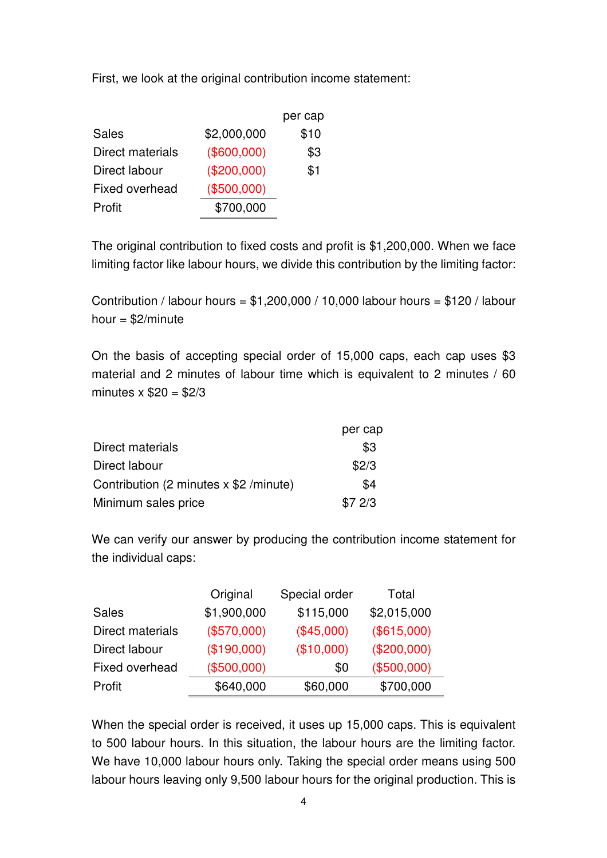First, we look at the original contribution income statement:

|                       |             | per cap |
|-----------------------|-------------|---------|
| <b>Sales</b>          | \$2,000,000 | \$10    |
| Direct materials      | (\$600,000) | \$3     |
| Direct labour         | (\$200,000) | \$1     |
| <b>Fixed overhead</b> | (\$500,000) |         |
| Profit                | \$700,000   |         |

The original contribution to fixed costs and profit is \$1,200,000. When we face limiting factor like labour hours, we divide this contribution by the limiting factor:

Contribution / labour hours = \$1,200,000 / 10,000 labour hours = \$120 / labour hour  $=$  \$2/minute

On the basis of accepting special order of 15,000 caps, each cap uses \$3 material and 2 minutes of labour time which is equivalent to 2 minutes / 60 minutes  $x$  \$20 = \$2/3

|                                          | per cap |
|------------------------------------------|---------|
| Direct materials                         | \$3     |
| Direct labour                            | \$2/3   |
| Contribution (2 minutes $x$ \$2 /minute) | \$4     |
| Minimum sales price                      | \$72/3  |

We can verify our answer by producing the contribution income statement for the individual caps:

|                  | Original    | Special order | Total       |
|------------------|-------------|---------------|-------------|
| <b>Sales</b>     | \$1,900,000 | \$115,000     | \$2,015,000 |
| Direct materials | (\$570,000) | (\$45,000)    | (\$615,000) |
| Direct labour    | (\$190,000) | (\$10,000)    | (\$200,000) |
| Fixed overhead   | (\$500,000) | \$0           | (\$500,000) |
| Profit           | \$640,000   | \$60,000      | \$700,000   |

When the special order is received, it uses up 15,000 caps. This is equivalent to 500 labour hours. In this situation, the labour hours are the limiting factor. We have 10,000 labour hours only. Taking the special order means using 500 labour hours leaving only 9,500 labour hours for the original production. This is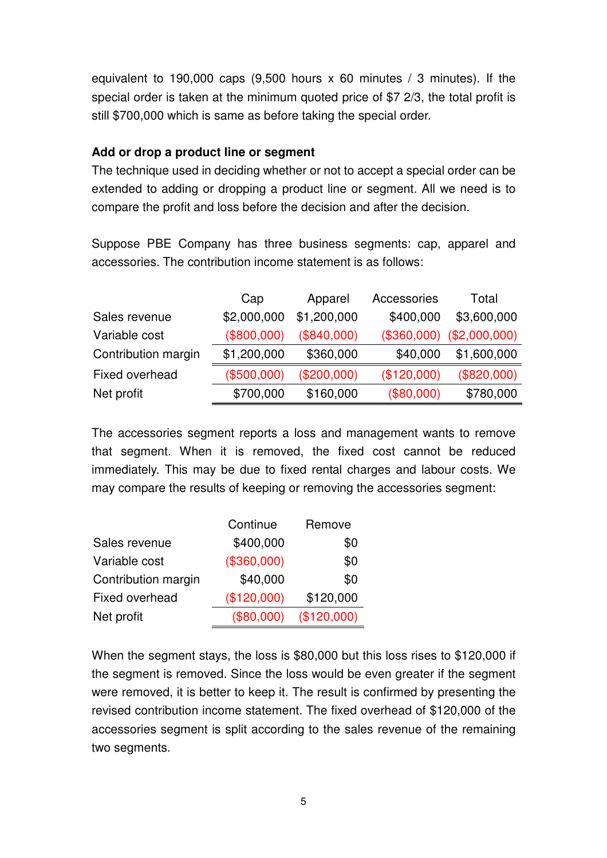equivalent to 190,000 caps  $(9,500$  hours x 60 minutes / 3 minutes). If the special order is taken at the minimum quoted price of \$7 2/3, the total profit is still \$700,000 which is same as before taking the special order.

#### **Add or drop a product line or segment**

The technique used in deciding whether or not to accept a special order can be extended to adding or dropping a product line or segment. All we need is to compare the profit and loss before the decision and after the decision.

Suppose PBE Company has three business segments: cap, apparel and accessories. The contribution income statement is as follows:

|                     | Cap         | Apparel       | Accessories | Total                       |
|---------------------|-------------|---------------|-------------|-----------------------------|
| Sales revenue       | \$2,000,000 | \$1,200,000   | \$400,000   | \$3,600,000                 |
| Variable cost       | (\$800,000) | (\$840,000)   |             | $($360,000)$ $($2,000,000)$ |
| Contribution margin | \$1,200,000 | \$360,000     | \$40,000    | \$1,600,000                 |
| Fixed overhead      | (\$500,000) | $(\$200,000)$ | (\$120,000) | (\$820,000)                 |
| Net profit          | \$700,000   | \$160,000     | (\$80,000)  | \$780,000                   |

The accessories segment reports a loss and management wants to remove that segment. When it is removed, the fixed cost cannot be reduced immediately. This may be due to fixed rental charges and labour costs. We may compare the results of keeping or removing the accessories segment:

|                       | Continue    | Remove      |
|-----------------------|-------------|-------------|
| Sales revenue         | \$400,000   | \$0         |
| Variable cost         | (\$360,000) | \$0         |
| Contribution margin   | \$40,000    | \$0         |
| <b>Fixed overhead</b> | (\$120,000) | \$120,000   |
| Net profit            | (\$80,000)  | (\$120,000) |

When the segment stays, the loss is \$80,000 but this loss rises to \$120,000 if the segment is removed. Since the loss would be even greater if the segment were removed, it is better to keep it. The result is confirmed by presenting the revised contribution income statement. The fixed overhead of \$120,000 of the accessories segment is split according to the sales revenue of the remaining two segments.